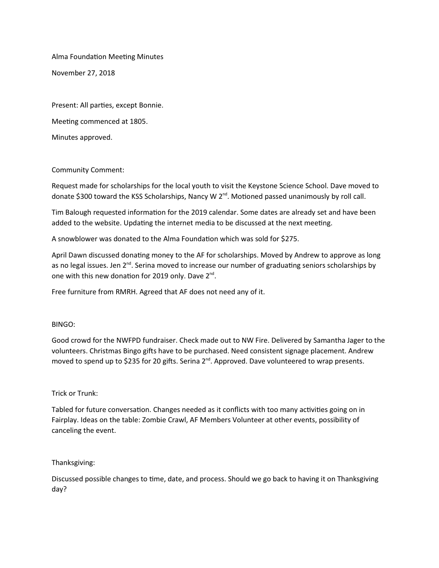Alma Foundation Meeting Minutes

November 27, 2018

Present: All parties, except Bonnie.

Meeting commenced at 1805.

Minutes approved.

## Community Comment:

Request made for scholarships for the local youth to visit the Keystone Science School. Dave moved to donate \$300 toward the KSS Scholarships, Nancy W  $2^{nd}$ . Motioned passed unanimously by roll call.

Tim Balough requested information for the 2019 calendar. Some dates are already set and have been added to the website. Updating the internet media to be discussed at the next meeting.

A snowblower was donated to the Alma Foundation which was sold for \$275.

April Dawn discussed donating money to the AF for scholarships. Moved by Andrew to approve as long as no legal issues. Jen  $2<sup>nd</sup>$ . Serina moved to increase our number of graduating seniors scholarships by one with this new donation for 2019 only. Dave  $2^{nd}$ .

Free furniture from RMRH. Agreed that AF does not need any of it.

## BINGO:

Good crowd for the NWFPD fundraiser. Check made out to NW Fire. Delivered by Samantha Jager to the volunteers. Christmas Bingo gifts have to be purchased. Need consistent signage placement. Andrew moved to spend up to \$235 for 20 gifts. Serina  $2<sup>nd</sup>$ . Approved. Dave volunteered to wrap presents.

## Trick or Trunk:

Tabled for future conversation. Changes needed as it conflicts with too many activities going on in Fairplay. Ideas on the table: Zombie Crawl, AF Members Volunteer at other events, possibility of canceling the event.

## Thanksgiving:

Discussed possible changes to time, date, and process. Should we go back to having it on Thanksgiving day?